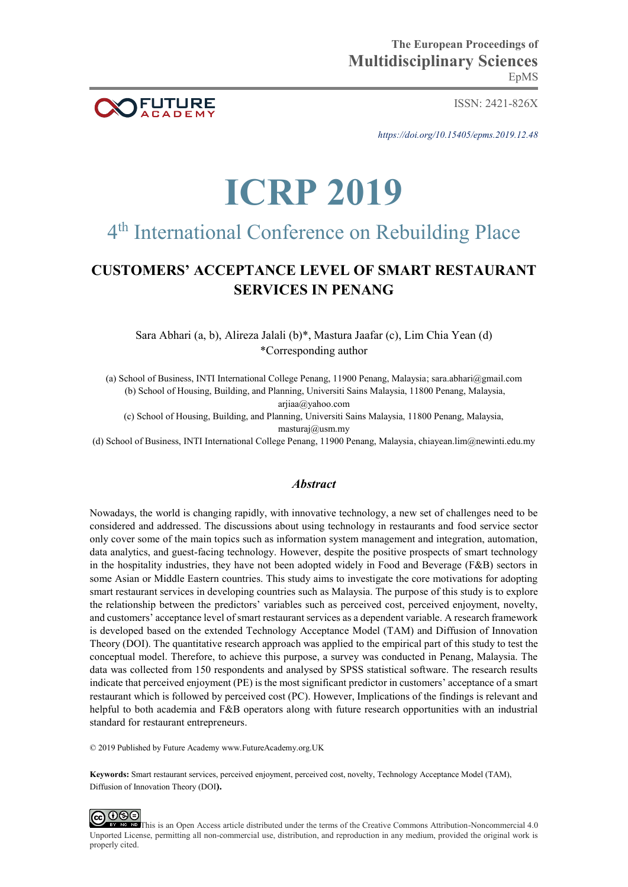

ISSN: 2421-826X

*https://doi.org/10.15405/epms.2019.12.48* 

# **ICRP 2019**

## 4<sup>th</sup> International Conference on Rebuilding Place

### **CUSTOMERS' ACCEPTANCE LEVEL OF SMART RESTAURANT SERVICES IN PENANG**

Sara Abhari (a, b), Alireza Jalali (b)\*, Mastura Jaafar (c), Lim Chia Yean (d) \*Corresponding author

(a) School of Business, INTI International College Penang, 11900 Penang, Malaysia; [sara.abhari@gmail.com](mailto:sara.abhari@gmail.com)  (b) School of Housing, Building, and Planning, Universiti Sains Malaysia, 11800 Penang, Malaysia,

[arjiaa@yahoo.com](mailto:arjiaa@yahoo.com) 

(c) School of Housing, Building, and Planning, Universiti Sains Malaysia, 11800 Penang, Malaysia, [masturaj@usm.my](mailto:masturaj@usm.my) 

(d) School of Business, INTI International College Penang, 11900 Penang, Malaysia, [chiayean.lim@newinti.edu.my](mailto:chiayean.lim@newinti.edu.my)

#### *Abstract*

Nowadays, the world is changing rapidly, with innovative technology, a new set of challenges need to be considered and addressed. The discussions about using technology in restaurants and food service sector only cover some of the main topics such as information system management and integration, automation, data analytics, and guest-facing technology. However, despite the positive prospects of smart technology in the hospitality industries, they have not been adopted widely in Food and Beverage (F&B) sectors in some Asian or Middle Eastern countries. This study aims to investigate the core motivations for adopting smart restaurant services in developing countries such as Malaysia. The purpose of this study is to explore the relationship between the predictors' variables such as perceived cost, perceived enjoyment, novelty, and customers' acceptance level of smart restaurant services as a dependent variable. A research framework is developed based on the extended Technology Acceptance Model (TAM) and Diffusion of Innovation Theory (DOI). The quantitative research approach was applied to the empirical part of this study to test the conceptual model. Therefore, to achieve this purpose, a survey was conducted in Penang, Malaysia. The data was collected from 150 respondents and analysed by SPSS statistical software. The research results indicate that perceived enjoyment (PE) is the most significant predictor in customers' acceptance of a smart restaurant which is followed by perceived cost (PC). However, Implications of the findings is relevant and helpful to both academia and F&B operators along with future research opportunities with an industrial standard for restaurant entrepreneurs.

© 2019 Published by Future Academy www.FutureAcademy.org.UK

**Keywords:** Smart restaurant services, perceived enjoyment, perceived cost, novelty, Technology Acceptance Model (TAM), Diffusion of Innovation Theory (DOI**).** 



**ED** This is an Open Access article distributed under the terms of the Creative Commons Attribution-Noncommercial 4.0 Unported License, permitting all non-commercial use, distribution, and reproduction in any medium, provided the original work is properly cited.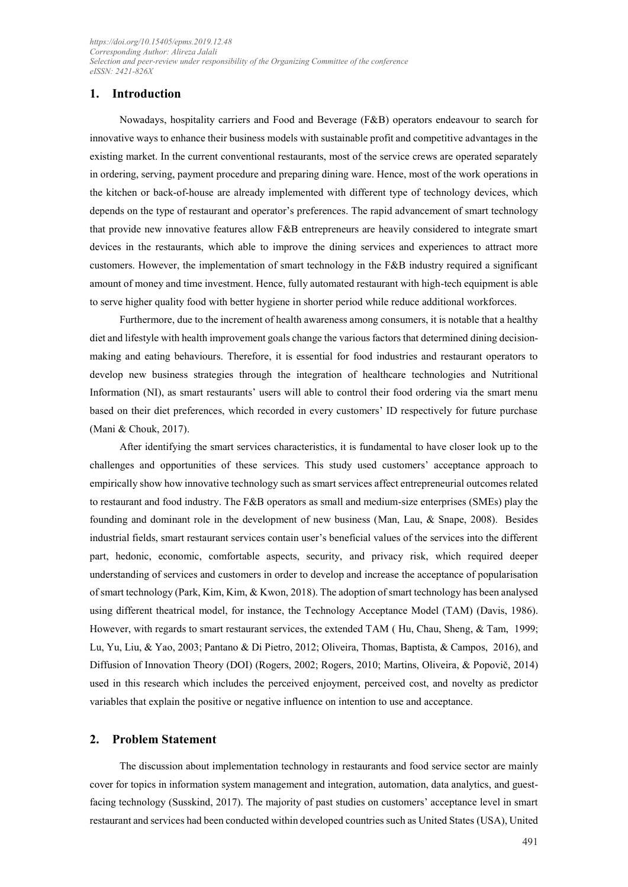#### **1. Introduction**

Nowadays, hospitality carriers and Food and Beverage (F&B) operators endeavour to search for innovative ways to enhance their business models with sustainable profit and competitive advantages in the existing market. In the current conventional restaurants, most of the service crews are operated separately in ordering, serving, payment procedure and preparing dining ware. Hence, most of the work operations in the kitchen or back-of-house are already implemented with different type of technology devices, which depends on the type of restaurant and operator's preferences. The rapid advancement of smart technology that provide new innovative features allow F&B entrepreneurs are heavily considered to integrate smart devices in the restaurants, which able to improve the dining services and experiences to attract more customers. However, the implementation of smart technology in the F&B industry required a significant amount of money and time investment. Hence, fully automated restaurant with high-tech equipment is able to serve higher quality food with better hygiene in shorter period while reduce additional workforces.

Furthermore, due to the increment of health awareness among consumers, it is notable that a healthy diet and lifestyle with health improvement goals change the various factors that determined dining decisionmaking and eating behaviours. Therefore, it is essential for food industries and restaurant operators to develop new business strategies through the integration of healthcare technologies and Nutritional Information (NI), as smart restaurants' users will able to control their food ordering via the smart menu based on their diet preferences, which recorded in every customers' ID respectively for future purchase (Mani & Chouk, 2017).

After identifying the smart services characteristics, it is fundamental to have closer look up to the challenges and opportunities of these services. This study used customers' acceptance approach to empirically show how innovative technology such as smart services affect entrepreneurial outcomes related to restaurant and food industry. The F&B operators as small and medium-size enterprises (SMEs) play the founding and dominant role in the development of new business (Man, Lau, & Snape, 2008). Besides industrial fields, smart restaurant services contain user's beneficial values of the services into the different part, hedonic, economic, comfortable aspects, security, and privacy risk, which required deeper understanding of services and customers in order to develop and increase the acceptance of popularisation of smart technology (Park, Kim, Kim, & Kwon, 2018). The adoption of smart technology has been analysed using different theatrical model, for instance, the Technology Acceptance Model (TAM) (Davis, 1986). However, with regards to smart restaurant services, the extended TAM ( Hu, Chau, Sheng, & Tam, 1999; Lu, Yu, Liu, & Yao, 2003; Pantano & Di Pietro, 2012; Oliveira, Thomas, Baptista, & Campos, 2016), and Diffusion of Innovation Theory (DOI) (Rogers, 2002; Rogers, 2010; Martins, Oliveira, & Popovič, 2014) used in this research which includes the perceived enjoyment, perceived cost, and novelty as predictor variables that explain the positive or negative influence on intention to use and acceptance.

#### **2. Problem Statement**

The discussion about implementation technology in restaurants and food service sector are mainly cover for topics in information system management and integration, automation, data analytics, and guestfacing technology [\(Susskind, 2017\)](#page-11-0). The majority of past studies on customers' acceptance level in smart restaurant and services had been conducted within developed countries such as United States (USA), United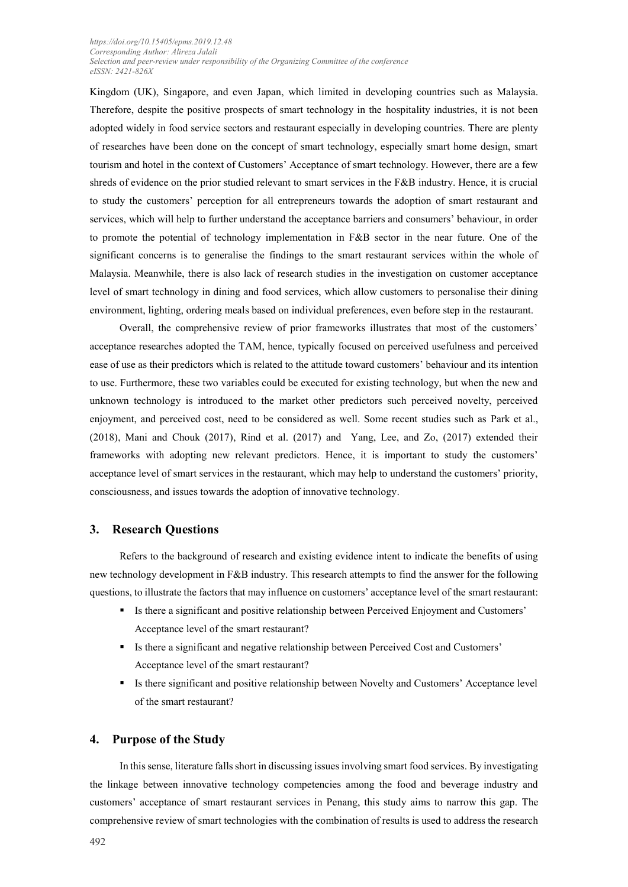Kingdom (UK), Singapore, and even Japan, which limited in developing countries such as Malaysia. Therefore, despite the positive prospects of smart technology in the hospitality industries, it is not been adopted widely in food service sectors and restaurant especially in developing countries. There are plenty of researches have been done on the concept of smart technology, especially smart home design, smart tourism and hotel in the context of Customers' Acceptance of smart technology. However, there are a few shreds of evidence on the prior studied relevant to smart services in the F&B industry. Hence, it is crucial to study the customers' perception for all entrepreneurs towards the adoption of smart restaurant and services, which will help to further understand the acceptance barriers and consumers' behaviour, in order to promote the potential of technology implementation in F&B sector in the near future. One of the significant concerns is to generalise the findings to the smart restaurant services within the whole of Malaysia. Meanwhile, there is also lack of research studies in the investigation on customer acceptance level of smart technology in dining and food services, which allow customers to personalise their dining environment, lighting, ordering meals based on individual preferences, even before step in the restaurant.

Overall, the comprehensive review of prior frameworks illustrates that most of the customers' acceptance researches adopted the TAM, hence, typically focused on perceived usefulness and perceived ease of use as their predictors which is related to the attitude toward customers' behaviour and its intention to use. Furthermore, these two variables could be executed for existing technology, but when the new and unknown technology is introduced to the market other predictors such perceived novelty, perceived enjoyment, and perceived cost, need to be considered as well. Some recent studies such as Park et al., (2018), Mani and Chouk (2017), Rind et al. (2017) and Yang, Lee, and Zo, (2017) extended their frameworks with adopting new relevant predictors. Hence, it is important to study the customers' acceptance level of smart services in the restaurant, which may help to understand the customers' priority, consciousness, and issues towards the adoption of innovative technology.

#### **3. Research Questions**

Refers to the background of research and existing evidence intent to indicate the benefits of using new technology development in F&B industry. This research attempts to find the answer for the following questions, to illustrate the factors that may influence on customers' acceptance level of the smart restaurant:

- Is there a significant and positive relationship between Perceived Enjoyment and Customers' Acceptance level of the smart restaurant?
- Is there a significant and negative relationship between Perceived Cost and Customers' Acceptance level of the smart restaurant?
- Is there significant and positive relationship between Novelty and Customers' Acceptance level of the smart restaurant?

#### **4. Purpose of the Study**

In this sense, literature falls short in discussing issues involving smart food services. By investigating the linkage between innovative technology competencies among the food and beverage industry and customers' acceptance of smart restaurant services in Penang, this study aims to narrow this gap. The comprehensive review of smart technologies with the combination of results is used to address the research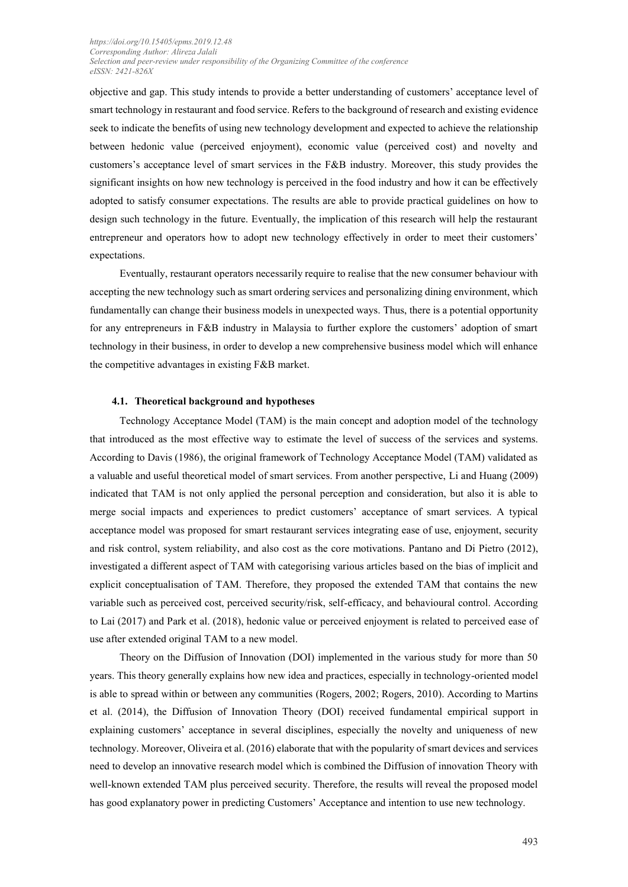objective and gap. This study intends to provide a better understanding of customers' acceptance level of smart technology in restaurant and food service. Refers to the background of research and existing evidence seek to indicate the benefits of using new technology development and expected to achieve the relationship between hedonic value (perceived enjoyment), economic value (perceived cost) and novelty and customers's acceptance level of smart services in the F&B industry. Moreover, this study provides the significant insights on how new technology is perceived in the food industry and how it can be effectively adopted to satisfy consumer expectations. The results are able to provide practical guidelines on how to design such technology in the future. Eventually, the implication of this research will help the restaurant entrepreneur and operators how to adopt new technology effectively in order to meet their customers' expectations.

Eventually, restaurant operators necessarily require to realise that the new consumer behaviour with accepting the new technology such as smart ordering services and personalizing dining environment, which fundamentally can change their business models in unexpected ways. Thus, there is a potential opportunity for any entrepreneurs in F&B industry in Malaysia to further explore the customers' adoption of smart technology in their business, in order to develop a new comprehensive business model which will enhance the competitive advantages in existing F&B market.

#### **4.1. Theoretical background and hypotheses**

Technology Acceptance Model (TAM) is the main concept and adoption model of the technology that introduced as the most effective way to estimate the level of success of the services and systems. According to Davis (1986), the original framework of Technology Acceptance Model (TAM) validated as a valuable and useful theoretical model of smart services. From another perspective, Li and Huang (2009) indicated that TAM is not only applied the personal perception and consideration, but also it is able to merge social impacts and experiences to predict customers' acceptance of smart services. A typical acceptance model was proposed for smart restaurant services integrating ease of use, enjoyment, security and risk control, system reliability, and also cost as the core motivations. Pantano and Di Pietro (2012), investigated a different aspect of TAM with categorising various articles based on the bias of implicit and explicit conceptualisation of TAM. Therefore, they proposed the extended TAM that contains the new variable such as perceived cost, perceived security/risk, self-efficacy, and behavioural control. According to Lai (2017) and [Park et al. \(2018\)](#page-11-1), hedonic value or perceived enjoyment is related to perceived ease of use after extended original TAM to a new model.

Theory on the Diffusion of Innovation (DOI) implemented in the various study for more than 50 years. This theory generally explains how new idea and practices, especially in technology-oriented model is able to spread within or between any communities [\(Rogers, 2002;](#page-11-2) [Rogers, 2010\)](#page-10-0). According to Martins et al. (2014), the Diffusion of Innovation Theory (DOI) received fundamental empirical support in explaining customers' acceptance in several disciplines, especially the novelty and uniqueness of new technology. Moreover, Oliveira et al. (2016) elaborate that with the popularity of smart devices and services need to develop an innovative research model which is combined the Diffusion of innovation Theory with well-known extended TAM plus perceived security. Therefore, the results will reveal the proposed model has good explanatory power in predicting Customers' Acceptance and intention to use new technology.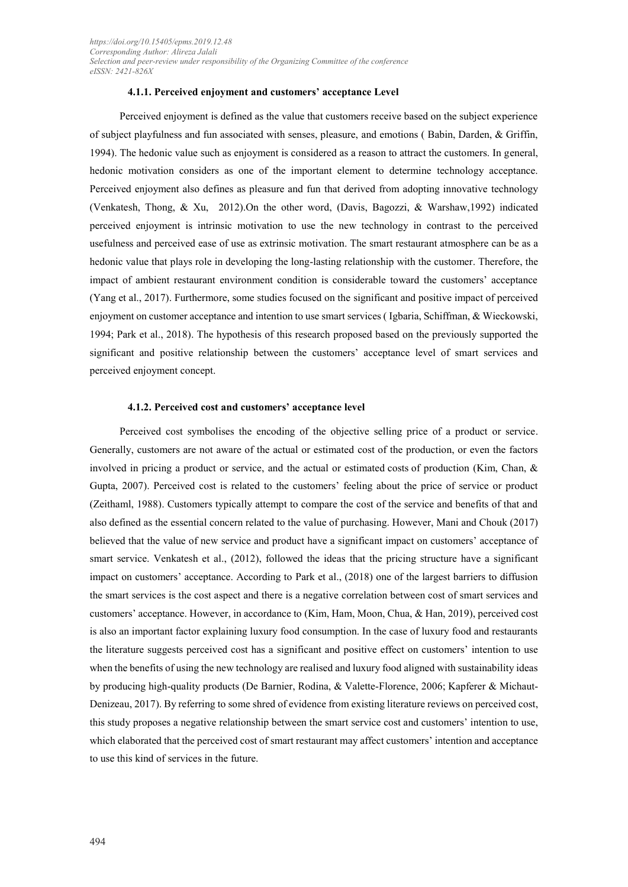#### **4.1.1. Perceived enjoyment and customers' acceptance Level**

Perceived enjoyment is defined as the value that customers receive based on the subject experience of subject playfulness and fun associated with senses, pleasure, and emotions ( Babin, Darden, & Griffin, 1994). The hedonic value such as enjoyment is considered as a reason to attract the customers. In general, hedonic motivation considers as one of the important element to determine technology acceptance. Perceived enjoyment also defines as pleasure and fun that derived from adopting innovative technology (Venkatesh, Thong, & Xu, 2012).On the other word, (Davis, Bagozzi, & Warshaw,1992) indicated perceived enjoyment is intrinsic motivation to use the new technology in contrast to the perceived usefulness and perceived ease of use as extrinsic motivation. The smart restaurant atmosphere can be as a hedonic value that plays role in developing the long-lasting relationship with the customer. Therefore, the impact of ambient restaurant environment condition is considerable toward the customers' acceptance (Yang et al., 2017). Furthermore, some studies focused on the significant and positive impact of perceived enjoyment on customer acceptance and intention to use smart services ( Igbaria, Schiffman, & Wieckowski, 1994; Park et al., 2018). The hypothesis of this research proposed based on the previously supported the significant and positive relationship between the customers' acceptance level of smart services and perceived enjoyment concept.

#### **4.1.2. Perceived cost and customers' acceptance level**

Perceived cost symbolises the encoding of the objective selling price of a product or service. Generally, customers are not aware of the actual or estimated cost of the production, or even the factors involved in pricing a product or service, and the actual or estimated costs of production (Kim, Chan, & Gupta, 2007). Perceived cost is related to the customers' feeling about the price of service or product (Zeithaml, 1988). Customers typically attempt to compare the cost of the service and benefits of that and also defined as the essential concern related to the value of purchasing. However, Mani and Chouk (2017) believed that the value of new service and product have a significant impact on customers' acceptance of smart service. Venkatesh et al., (2012), followed the ideas that the pricing structure have a significant impact on customers' acceptance. According to Park et al., (2018) one of the largest barriers to diffusion the smart services is the cost aspect and there is a negative correlation between cost of smart services and customers' acceptance. However, in accordance to (Kim, Ham, Moon, Chua, & Han, 2019), perceived cost is also an important factor explaining luxury food consumption. In the case of luxury food and restaurants the literature suggests perceived cost has a significant and positive effect on customers' intention to use when the benefits of using the new technology are realised and luxury food aligned with sustainability ideas by producing high-quality products [\(De Barnier, Rodina, & Valette-Florence, 2006;](#page-10-1) [Kapferer & Michaut-](#page-10-2)[Denizeau, 2017\)](#page-10-2). By referring to some shred of evidence from existing literature reviews on perceived cost, this study proposes a negative relationship between the smart service cost and customers' intention to use, which elaborated that the perceived cost of smart restaurant may affect customers' intention and acceptance to use this kind of services in the future.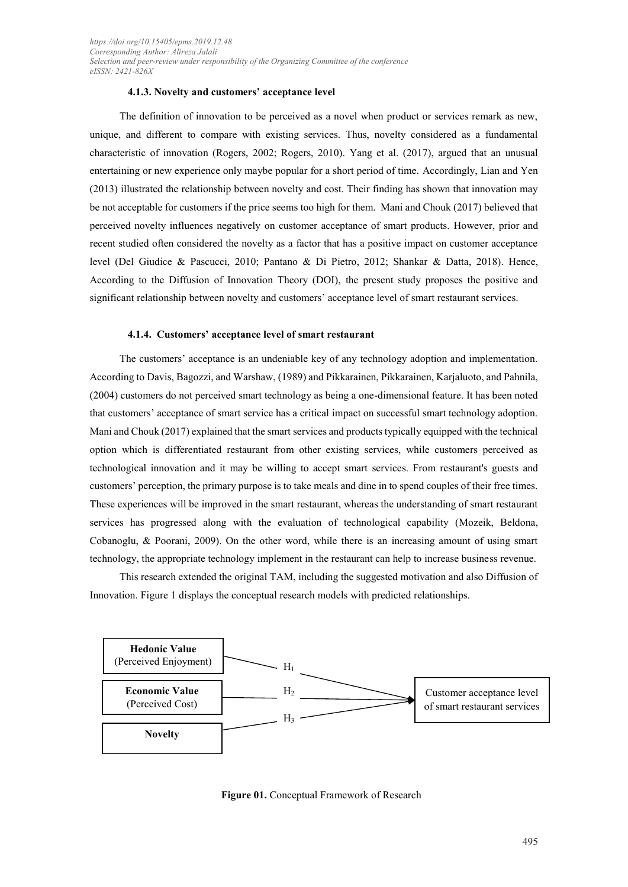#### **4.1.3. Novelty and customers' acceptance level**

The definition of innovation to be perceived as a novel when product or services remark as new, unique, and different to compare with existing services. Thus, novelty considered as a fundamental characteristic of innovation (Rogers, 2002; Rogers, 2010). Yang et al. (2017), argued that an unusual entertaining or new experience only maybe popular for a short period of time. Accordingly, Lian and Yen (2013) illustrated the relationship between novelty and cost. Their finding has shown that innovation may be not acceptable for customers if the price seems too high for them. Mani and Chouk (2017) believed that perceived novelty influences negatively on customer acceptance of smart products. However, prior and recent studied often considered the novelty as a factor that has a positive impact on customer acceptance level (Del Giudice & Pascucci, 2010; Pantano & Di Pietro, 2012; Shankar & Datta, 2018). Hence, According to the Diffusion of Innovation Theory (DOI), the present study proposes the positive and significant relationship between novelty and customers' acceptance level of smart restaurant services.

#### **4.1.4. Customers' acceptance level of smart restaurant**

The customers' acceptance is an undeniable key of any technology adoption and implementation. According to Davis, Bagozzi, and Warshaw, (1989) and Pikkarainen, Pikkarainen, Karjaluoto, and Pahnila, (2004) customers do not perceived smart technology as being a one-dimensional feature. It has been noted that customers' acceptance of smart service has a critical impact on successful smart technology adoption. Mani and Chouk (2017) explained that the smart services and products typically equipped with the technical option which is differentiated restaurant from other existing services, while customers perceived as technological innovation and it may be willing to accept smart services. From restaurant's guests and customers' perception, the primary purpose is to take meals and dine in to spend couples of their free times. These experiences will be improved in the smart restaurant, whereas the understanding of smart restaurant services has progressed along with the evaluation of technological capability (Mozeik, Beldona, Cobanoglu, & Poorani, 2009). On the other word, while there is an increasing amount of using smart technology, the appropriate technology implement in the restaurant can help to increase business revenue.

This research extended the original TAM, including the suggested motivation and also Diffusion of Innovation. Figure 1 displays the conceptual research models with predicted relationships.



**Figure 01.** Conceptual Framework of Research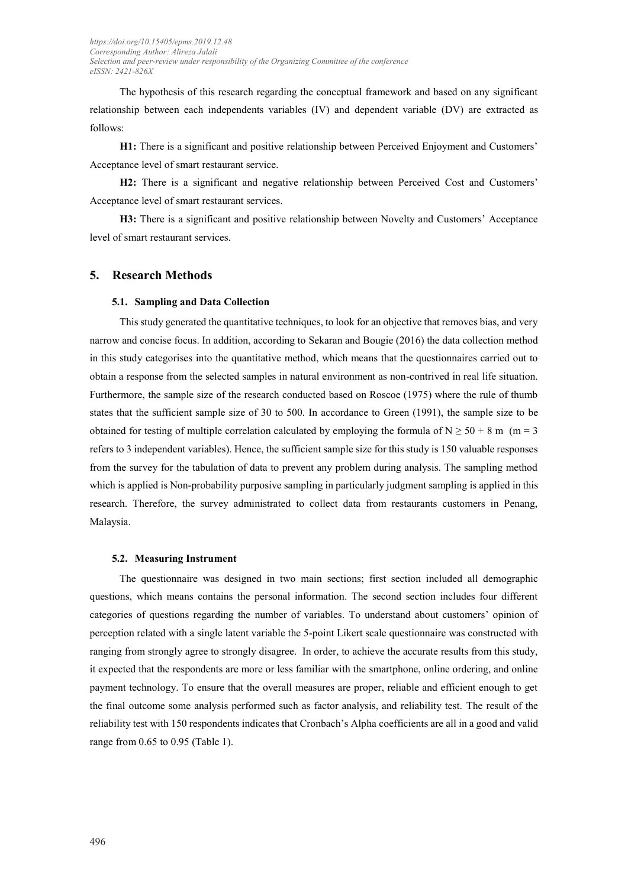The hypothesis of this research regarding the conceptual framework and based on any significant relationship between each independents variables (IV) and dependent variable (DV) are extracted as follows:

**H1:** There is a significant and positive relationship between Perceived Enjoyment and Customers' Acceptance level of smart restaurant service.

**H2:** There is a significant and negative relationship between Perceived Cost and Customers' Acceptance level of smart restaurant services.

**H3:** There is a significant and positive relationship between Novelty and Customers' Acceptance level of smart restaurant services.

#### **5. Research Methods**

#### **5.1. Sampling and Data Collection**

This study generated the quantitative techniques, to look for an objective that removes bias, and very narrow and concise focus. In addition, according to [Sekaran and Bougie \(2016\)](#page-11-3) the data collection method in this study categorises into the quantitative method, which means that the questionnaires carried out to obtain a response from the selected samples in natural environment as non-contrived in real life situation. Furthermore, the sample size of the research conducted based on Roscoe (1975) where the rule of thumb states that the sufficient sample size of 30 to 500. In accordance to Green (1991), the sample size to be obtained for testing of multiple correlation calculated by employing the formula of  $N \ge 50 + 8$  m (m = 3) refers to 3 independent variables). Hence, the sufficient sample size for this study is 150 valuable responses from the survey for the tabulation of data to prevent any problem during analysis. The sampling method which is applied is Non-probability purposive sampling in particularly judgment sampling is applied in this research. Therefore, the survey administrated to collect data from restaurants customers in Penang, Malaysia.

#### **5.2. Measuring Instrument**

The questionnaire was designed in two main sections; first section included all demographic questions, which means contains the personal information. The second section includes four different categories of questions regarding the number of variables. To understand about customers' opinion of perception related with a single latent variable the 5-point Likert scale questionnaire was constructed with ranging from strongly agree to strongly disagree. In order, to achieve the accurate results from this study, it expected that the respondents are more or less familiar with the smartphone, online ordering, and online payment technology. To ensure that the overall measures are proper, reliable and efficient enough to get the final outcome some analysis performed such as factor analysis, and reliability test. The result of the reliability test with 150 respondents indicates that Cronbach's Alpha coefficients are all in a good and valid range from 0.65 to 0.95 (Table 1).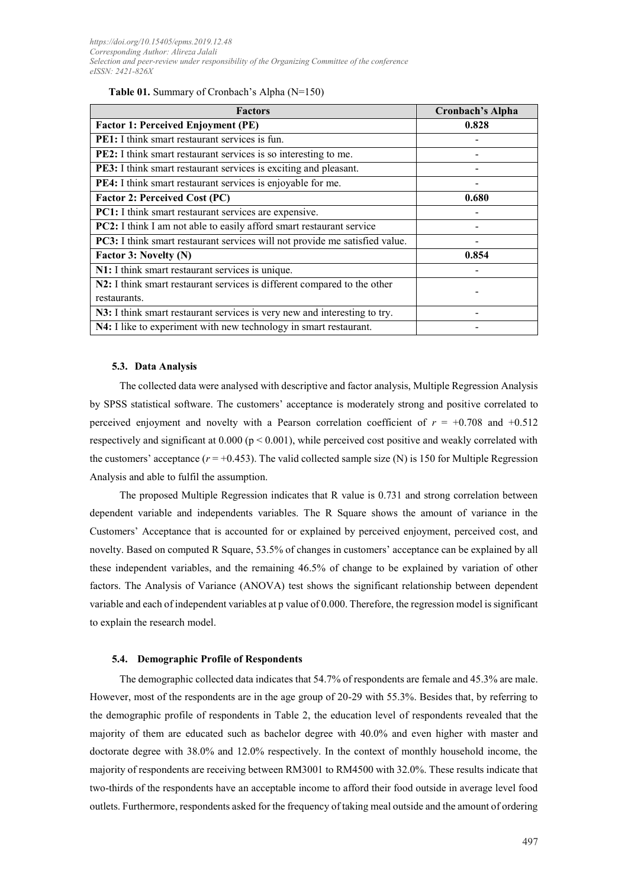| <b>Factors</b>                                                              | <b>Cronbach's Alpha</b> |
|-----------------------------------------------------------------------------|-------------------------|
| <b>Factor 1: Perceived Enjoyment (PE)</b>                                   | 0.828                   |
| <b>PE1:</b> I think smart restaurant services is fun.                       |                         |
| PE2: I think smart restaurant services is so interesting to me.             |                         |
| PE3: I think smart restaurant services is exciting and pleasant.            |                         |
| PE4: I think smart restaurant services is enjoyable for me.                 |                         |
| <b>Factor 2: Perceived Cost (PC)</b>                                        | 0.680                   |
| PC1: I think smart restaurant services are expensive.                       |                         |
| PC2: I think I am not able to easily afford smart restaurant service        |                         |
| PC3: I think smart restaurant services will not provide me satisfied value. |                         |
| Factor 3: Novelty (N)                                                       | 0.854                   |
| N1: I think smart restaurant services is unique.                            |                         |
| N2: I think smart restaurant services is different compared to the other    |                         |
| restaurants.                                                                |                         |
| N3: I think smart restaurant services is very new and interesting to try.   |                         |
| N4: I like to experiment with new technology in smart restaurant.           |                         |

#### **5.3. Data Analysis**

The collected data were analysed with descriptive and factor analysis, Multiple Regression Analysis by SPSS statistical software. The customers' acceptance is moderately strong and positive correlated to perceived enjoyment and novelty with a Pearson correlation coefficient of  $r = +0.708$  and  $+0.512$ respectively and significant at  $0.000$  (p  $\leq 0.001$ ), while perceived cost positive and weakly correlated with the customers' acceptance  $(r = +0.453)$ . The valid collected sample size (N) is 150 for Multiple Regression Analysis and able to fulfil the assumption.

The proposed Multiple Regression indicates that R value is 0.731 and strong correlation between dependent variable and independents variables. The R Square shows the amount of variance in the Customers' Acceptance that is accounted for or explained by perceived enjoyment, perceived cost, and novelty. Based on computed R Square, 53.5% of changes in customers' acceptance can be explained by all these independent variables, and the remaining 46.5% of change to be explained by variation of other factors. The Analysis of Variance (ANOVA) test shows the significant relationship between dependent variable and each of independent variables at p value of 0.000. Therefore, the regression model is significant to explain the research model.

#### **5.4. Demographic Profile of Respondents**

The demographic collected data indicates that 54.7% of respondents are female and 45.3% are male. However, most of the respondents are in the age group of 20-29 with 55.3%. Besides that, by referring to the demographic profile of respondents in Table 2, the education level of respondents revealed that the majority of them are educated such as bachelor degree with 40.0% and even higher with master and doctorate degree with 38.0% and 12.0% respectively. In the context of monthly household income, the majority of respondents are receiving between RM3001 to RM4500 with 32.0%. These results indicate that two-thirds of the respondents have an acceptable income to afford their food outside in average level food outlets. Furthermore, respondents asked for the frequency of taking meal outside and the amount of ordering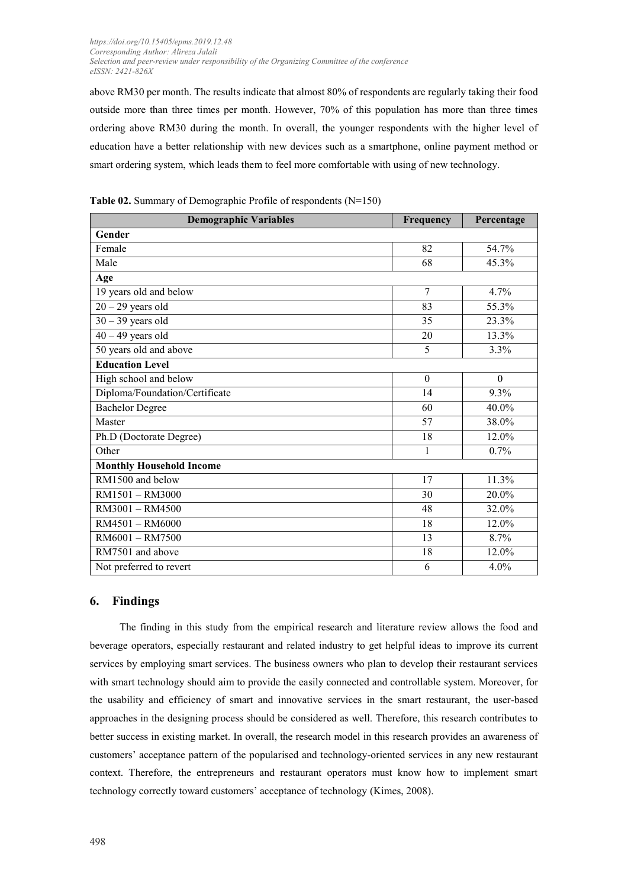above RM30 per month. The results indicate that almost 80% of respondents are regularly taking their food outside more than three times per month. However, 70% of this population has more than three times ordering above RM30 during the month. In overall, the younger respondents with the higher level of education have a better relationship with new devices such as a smartphone, online payment method or smart ordering system, which leads them to feel more comfortable with using of new technology.

| <b>Demographic Variables</b>    | Frequency    | Percentage       |
|---------------------------------|--------------|------------------|
| Gender                          |              |                  |
| Female                          | 82           | 54.7%            |
| Male                            | 68           | 45.3%            |
| Age                             |              |                  |
| 19 years old and below          | 7            | 4.7%             |
| $20 - 29$ years old             | 83           | 55.3%            |
| $30 - 39$ years old             | 35           | 23.3%            |
| $40 - 49$ years old             | 20           | 13.3%            |
| 50 years old and above          | 5            | 3.3%             |
| <b>Education Level</b>          |              |                  |
| High school and below           | $\theta$     | $\boldsymbol{0}$ |
| Diploma/Foundation/Certificate  | 14           | 9.3%             |
| <b>Bachelor Degree</b>          | 60           | 40.0%            |
| Master                          | 57           | 38.0%            |
| Ph.D (Doctorate Degree)         | 18           | 12.0%            |
| Other                           | $\mathbf{1}$ | 0.7%             |
| <b>Monthly Household Income</b> |              |                  |
| RM1500 and below                | 17           | 11.3%            |
| RM1501 - RM3000                 | 30           | 20.0%            |
| RM3001 - RM4500                 | 48           | 32.0%            |
| RM4501 - RM6000                 | 18           | 12.0%            |
| RM6001 - RM7500                 | 13           | 8.7%             |
| RM7501 and above                | 18           | 12.0%            |
| Not preferred to revert         | 6            | 4.0%             |

**Table 02.** Summary of Demographic Profile of respondents (N=150)

#### **6. Findings**

The finding in this study from the empirical research and literature review allows the food and beverage operators, especially restaurant and related industry to get helpful ideas to improve its current services by employing smart services. The business owners who plan to develop their restaurant services with smart technology should aim to provide the easily connected and controllable system. Moreover, for the usability and efficiency of smart and innovative services in the smart restaurant, the user-based approaches in the designing process should be considered as well. Therefore, this research contributes to better success in existing market. In overall, the research model in this research provides an awareness of customers' acceptance pattern of the popularised and technology-oriented services in any new restaurant context. Therefore, the entrepreneurs and restaurant operators must know how to implement smart technology correctly toward customers' acceptance of technology [\(Kimes, 2008\)](#page-10-3).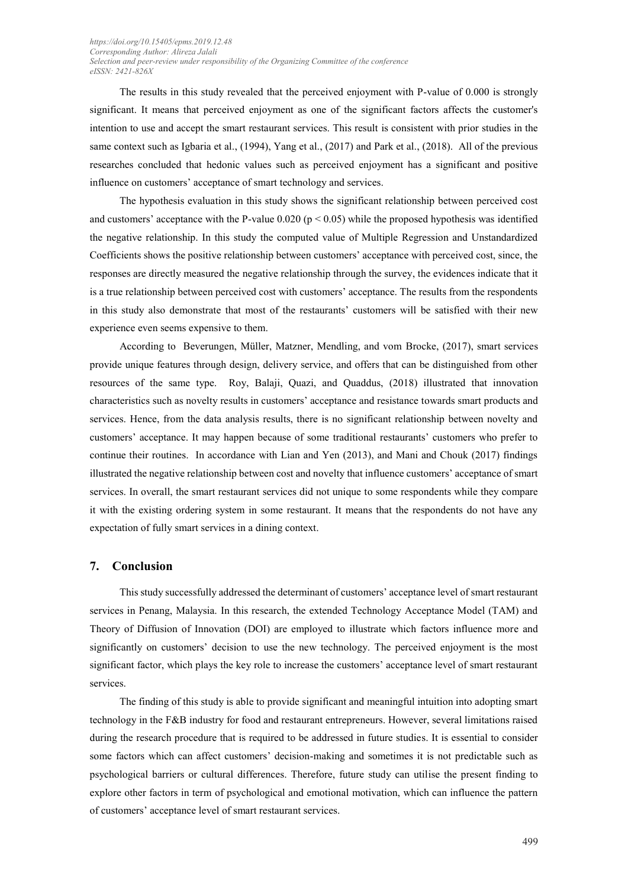The results in this study revealed that the perceived enjoyment with P-value of 0.000 is strongly significant. It means that perceived enjoyment as one of the significant factors affects the customer's intention to use and accept the smart restaurant services. This result is consistent with prior studies in the same context such as Igbaria et al., (1994), Yang et al., (2017) and Park et al., (2018). All of the previous researches concluded that hedonic values such as perceived enjoyment has a significant and positive influence on customers' acceptance of smart technology and services.

The hypothesis evaluation in this study shows the significant relationship between perceived cost and customers' acceptance with the P-value  $0.020$  ( $p < 0.05$ ) while the proposed hypothesis was identified the negative relationship. In this study the computed value of Multiple Regression and Unstandardized Coefficients shows the positive relationship between customers' acceptance with perceived cost, since, the responses are directly measured the negative relationship through the survey, the evidences indicate that it is a true relationship between perceived cost with customers' acceptance. The results from the respondents in this study also demonstrate that most of the restaurants' customers will be satisfied with their new experience even seems expensive to them.

According to [Beverungen, Müller, Matzner, Mendling, and vom Brocke, \(2017\)](#page-10-4), smart services provide unique features through design, delivery service, and offers that can be distinguished from other resources of the same type. [Roy, Balaji, Quazi, and Quaddus, \(2018\)](#page-11-4) illustrated that innovation characteristics such as novelty results in customers' acceptance and resistance towards smart products and services. Hence, from the data analysis results, there is no significant relationship between novelty and customers' acceptance. It may happen because of some traditional restaurants' customers who prefer to continue their routines. In accordance with Lian and Yen (2013), and Mani and Chouk (2017) findings illustrated the negative relationship between cost and novelty that influence customers' acceptance of smart services. In overall, the smart restaurant services did not unique to some respondents while they compare it with the existing ordering system in some restaurant. It means that the respondents do not have any expectation of fully smart services in a dining context.

#### **7. Conclusion**

This study successfully addressed the determinant of customers' acceptance level of smart restaurant services in Penang, Malaysia. In this research, the extended Technology Acceptance Model (TAM) and Theory of Diffusion of Innovation (DOI) are employed to illustrate which factors influence more and significantly on customers' decision to use the new technology. The perceived enjoyment is the most significant factor, which plays the key role to increase the customers' acceptance level of smart restaurant services.

The finding of this study is able to provide significant and meaningful intuition into adopting smart technology in the F&B industry for food and restaurant entrepreneurs. However, several limitations raised during the research procedure that is required to be addressed in future studies. It is essential to consider some factors which can affect customers' decision-making and sometimes it is not predictable such as psychological barriers or cultural differences. Therefore, future study can utilise the present finding to explore other factors in term of psychological and emotional motivation, which can influence the pattern of customers' acceptance level of smart restaurant services.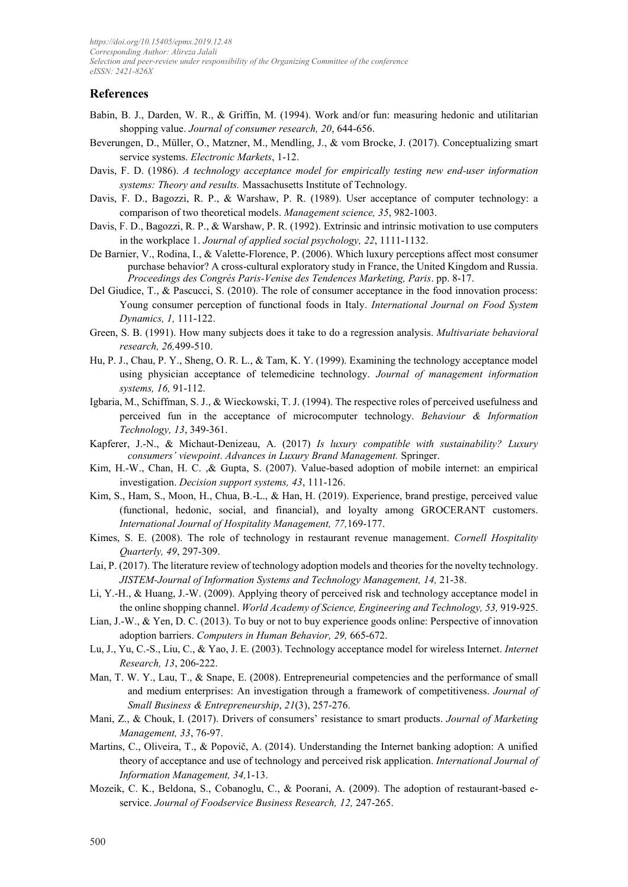#### **References**

- <span id="page-10-0"></span>Babin, B. J., Darden, W. R., & Griffin, M. (1994). Work and/or fun: measuring hedonic and utilitarian shopping value. *Journal of consumer research, 20*, 644-656.
- <span id="page-10-4"></span>Beverungen, D., Müller, O., Matzner, M., Mendling, J., & vom Brocke, J. (2017). Conceptualizing smart service systems. *Electronic Markets*, 1-12.
- Davis, F. D. (1986). *A technology acceptance model for empirically testing new end-user information systems: Theory and results.* Massachusetts Institute of Technology.
- <span id="page-10-1"></span>Davis, F. D., Bagozzi, R. P., & Warshaw, P. R. (1989). User acceptance of computer technology: a comparison of two theoretical models. *Management science, 35*, 982-1003.
- Davis, F. D., Bagozzi, R. P., & Warshaw, P. R. (1992). Extrinsic and intrinsic motivation to use computers in the workplace 1. *Journal of applied social psychology, 22*, 1111-1132.
- De Barnier, V., Rodina, I., & Valette-Florence, P. (2006). Which luxury perceptions affect most consumer purchase behavior? A cross-cultural exploratory study in France, the United Kingdom and Russia. *Proceedings des Congrés Paris-Venise des Tendences Marketing, Paris*. pp. 8-17.
- Del Giudice, T., & Pascucci, S. (2010). The role of consumer acceptance in the food innovation process: Young consumer perception of functional foods in Italy. *International Journal on Food System Dynamics, 1,* 111-122.
- Green, S. B. (1991). How many subjects does it take to do a regression analysis. *Multivariate behavioral research, 26,*499-510.
- <span id="page-10-2"></span>Hu, P. J., Chau, P. Y., Sheng, O. R. L., & Tam, K. Y. (1999). Examining the technology acceptance model using physician acceptance of telemedicine technology. *Journal of management information systems, 16,* 91-112.
- Igbaria, M., Schiffman, S. J., & Wieckowski, T. J. (1994). The respective roles of perceived usefulness and perceived fun in the acceptance of microcomputer technology. *Behaviour & Information Technology, 13*, 349-361.
- Kapferer, J.-N., & Michaut-Denizeau, A. (2017) *Is luxury compatible with sustainability? Luxury consumers' viewpoint*. *Advances in Luxury Brand Management.* Springer.
- Kim, H.-W., Chan, H. C. ,& Gupta, S. (2007). Value-based adoption of mobile internet: an empirical investigation. *Decision support systems, 43*, 111-126.
- Kim, S., Ham, S., Moon, H., Chua, B.-L., & Han, H. (2019). Experience, brand prestige, perceived value (functional, hedonic, social, and financial), and loyalty among GROCERANT customers. *International Journal of Hospitality Management, 77,*169-177.
- <span id="page-10-3"></span>Kimes, S. E. (2008). The role of technology in restaurant revenue management. *Cornell Hospitality Quarterly, 49*, 297-309.
- Lai, P. (2017). The literature review of technology adoption models and theories for the novelty technology. *JISTEM-Journal of Information Systems and Technology Management, 14,* 21-38.
- Li, Y.-H., & Huang, J.-W. (2009). Applying theory of perceived risk and technology acceptance model in the online shopping channel. *World Academy of Science, Engineering and Technology, 53,* 919-925.
- Lian, J.-W., & Yen, D. C. (2013). To buy or not to buy experience goods online: Perspective of innovation adoption barriers. *Computers in Human Behavior, 29,* 665-672.
- Lu, J., Yu, C.-S., Liu, C., & Yao, J. E. (2003). Technology acceptance model for wireless Internet. *Internet Research, 13*, 206-222.
- Man, T. W. Y., Lau, T., & Snape, E. (2008). Entrepreneurial competencies and the performance of small and medium enterprises: An investigation through a framework of competitiveness. *Journal of Small Business & Entrepreneurship*, *21*(3), 257-276.
- Mani, Z., & Chouk, I. (2017). Drivers of consumers' resistance to smart products. *Journal of Marketing Management, 33*, 76-97.
- Martins, C., Oliveira, T., & Popovič, A. (2014). Understanding the Internet banking adoption: A unified theory of acceptance and use of technology and perceived risk application. *International Journal of Information Management, 34,*1-13.
- Mozeik, C. K., Beldona, S., Cobanoglu, C., & Poorani, A. (2009). The adoption of restaurant-based eservice. *Journal of Foodservice Business Research, 12,* 247-265.